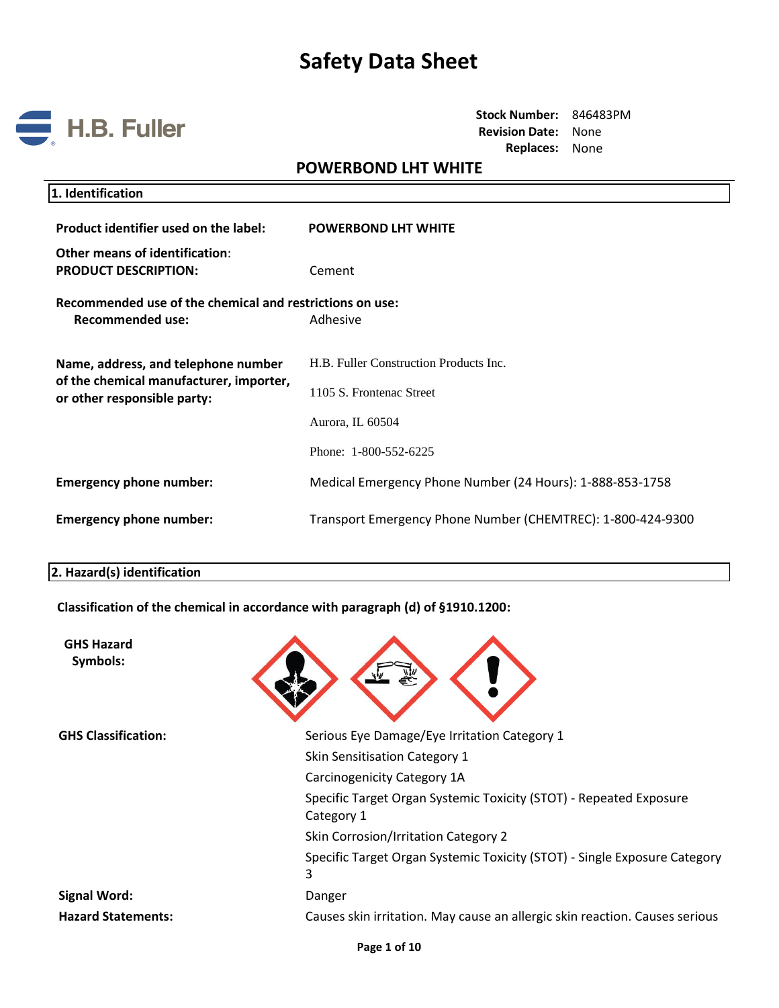

**Stock Number:** 846483PM **Revision Date:** None **Replaces:** None

## **POWERBOND LHT WHITE**

| 1. Identification                                                                                             |                                                                                                                 |
|---------------------------------------------------------------------------------------------------------------|-----------------------------------------------------------------------------------------------------------------|
| Product identifier used on the label:                                                                         | <b>POWERBOND LHT WHITE</b>                                                                                      |
| Other means of identification:<br><b>PRODUCT DESCRIPTION:</b>                                                 | Cement                                                                                                          |
| Recommended use of the chemical and restrictions on use:<br><b>Recommended use:</b>                           | Adhesive                                                                                                        |
| Name, address, and telephone number<br>of the chemical manufacturer, importer,<br>or other responsible party: | H.B. Fuller Construction Products Inc.<br>1105 S. Frontenac Street<br>Aurora, IL 60504<br>Phone: 1-800-552-6225 |
| <b>Emergency phone number:</b>                                                                                | Medical Emergency Phone Number (24 Hours): 1-888-853-1758                                                       |
| <b>Emergency phone number:</b>                                                                                | Transport Emergency Phone Number (CHEMTREC): 1-800-424-9300                                                     |
|                                                                                                               |                                                                                                                 |

### **2. Hazard(s) identification**

**Classification of the chemical in accordance with paragraph (d) of §1910.1200:**

| <b>GHS Hazard</b><br>Symbols: |                                                                                  |
|-------------------------------|----------------------------------------------------------------------------------|
| <b>GHS Classification:</b>    | Serious Eye Damage/Eye Irritation Category 1                                     |
|                               | Skin Sensitisation Category 1                                                    |
|                               | Carcinogenicity Category 1A                                                      |
|                               | Specific Target Organ Systemic Toxicity (STOT) - Repeated Exposure<br>Category 1 |
|                               | Skin Corrosion/Irritation Category 2                                             |
|                               | Specific Target Organ Systemic Toxicity (STOT) - Single Exposure Category<br>3   |
| <b>Signal Word:</b>           | Danger                                                                           |
| <b>Hazard Statements:</b>     | Causes skin irritation. May cause an allergic skin reaction. Causes serious      |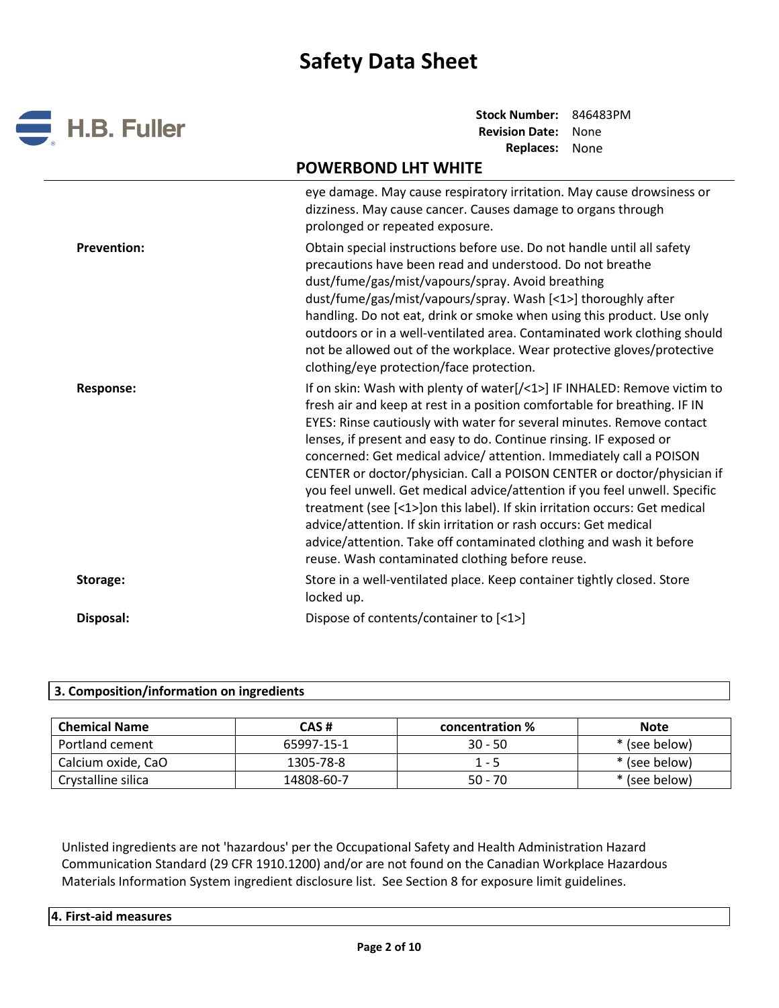

**Stock Number:** 846483PM **Revision Date:** None **Replaces:** None

# **POWERBOND LHT WHITE**

|                    | eye damage. May cause respiratory irritation. May cause drowsiness or<br>dizziness. May cause cancer. Causes damage to organs through<br>prolonged or repeated exposure.                                                                                                                                                                                                                                                                                                                                                                                                                                                                                                                                                                                                                                         |
|--------------------|------------------------------------------------------------------------------------------------------------------------------------------------------------------------------------------------------------------------------------------------------------------------------------------------------------------------------------------------------------------------------------------------------------------------------------------------------------------------------------------------------------------------------------------------------------------------------------------------------------------------------------------------------------------------------------------------------------------------------------------------------------------------------------------------------------------|
| <b>Prevention:</b> | Obtain special instructions before use. Do not handle until all safety<br>precautions have been read and understood. Do not breathe<br>dust/fume/gas/mist/vapours/spray. Avoid breathing<br>dust/fume/gas/mist/vapours/spray. Wash [<1>] thoroughly after<br>handling. Do not eat, drink or smoke when using this product. Use only<br>outdoors or in a well-ventilated area. Contaminated work clothing should<br>not be allowed out of the workplace. Wear protective gloves/protective<br>clothing/eye protection/face protection.                                                                                                                                                                                                                                                                            |
| <b>Response:</b>   | If on skin: Wash with plenty of water[/<1>] IF INHALED: Remove victim to<br>fresh air and keep at rest in a position comfortable for breathing. IF IN<br>EYES: Rinse cautiously with water for several minutes. Remove contact<br>lenses, if present and easy to do. Continue rinsing. IF exposed or<br>concerned: Get medical advice/ attention. Immediately call a POISON<br>CENTER or doctor/physician. Call a POISON CENTER or doctor/physician if<br>you feel unwell. Get medical advice/attention if you feel unwell. Specific<br>treatment (see [<1>]on this label). If skin irritation occurs: Get medical<br>advice/attention. If skin irritation or rash occurs: Get medical<br>advice/attention. Take off contaminated clothing and wash it before<br>reuse. Wash contaminated clothing before reuse. |
| Storage:           | Store in a well-ventilated place. Keep container tightly closed. Store<br>locked up.                                                                                                                                                                                                                                                                                                                                                                                                                                                                                                                                                                                                                                                                                                                             |
| Disposal:          | Dispose of contents/container to [<1>]                                                                                                                                                                                                                                                                                                                                                                                                                                                                                                                                                                                                                                                                                                                                                                           |

## **3. Composition/information on ingredients**

| <b>Chemical Name</b> | CAS#       | concentration % | <b>Note</b>   |
|----------------------|------------|-----------------|---------------|
| Portland cement      | 65997-15-1 | $30 - 50$       | * (see below) |
| Calcium oxide, CaO   | 1305-78-8  | $1 - 5$         | * (see below) |
| Crystalline silica   | 14808-60-7 | $50 - 70$       | * (see below) |

Unlisted ingredients are not 'hazardous' per the Occupational Safety and Health Administration Hazard Communication Standard (29 CFR 1910.1200) and/or are not found on the Canadian Workplace Hazardous Materials Information System ingredient disclosure list. See Section 8 for exposure limit guidelines.

| 4. First-aid measures |
|-----------------------|
|                       |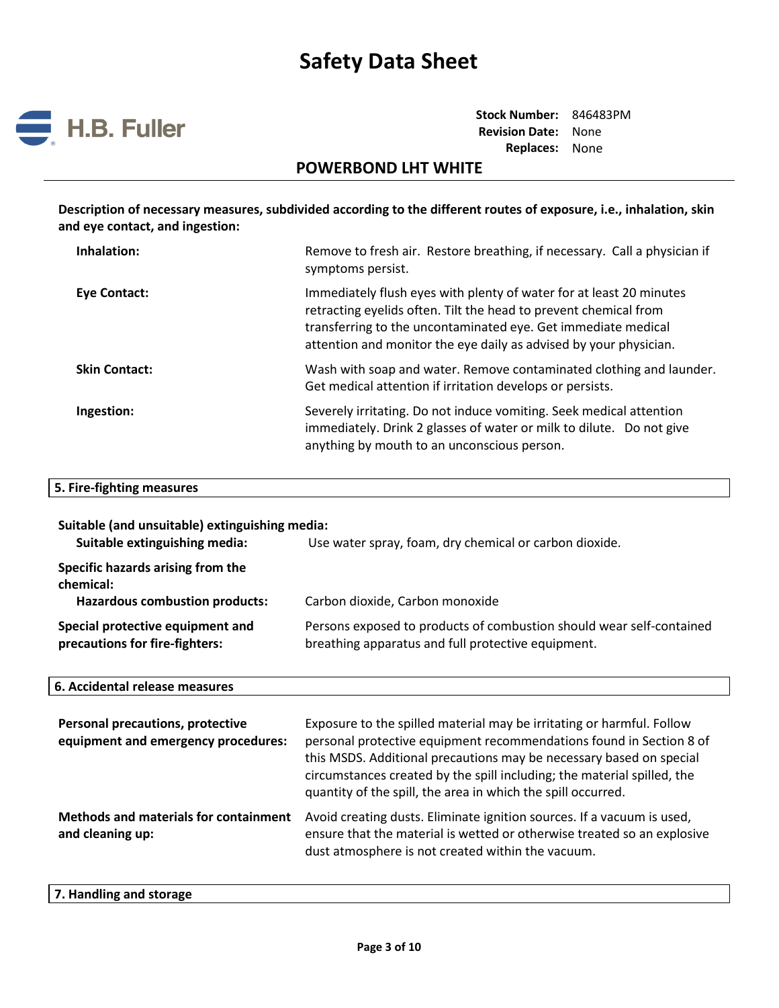

**Stock Number:** 846483PM **Revision Date:** None **Replaces:** None

## **POWERBOND LHT WHITE**

**Description of necessary measures, subdivided according to the different routes of exposure, i.e., inhalation, skin and eye contact, and ingestion:** 

| Inhalation:          | Remove to fresh air. Restore breathing, if necessary. Call a physician if<br>symptoms persist.                                                                                                                                                                                |
|----------------------|-------------------------------------------------------------------------------------------------------------------------------------------------------------------------------------------------------------------------------------------------------------------------------|
| Eye Contact:         | Immediately flush eyes with plenty of water for at least 20 minutes<br>retracting eyelids often. Tilt the head to prevent chemical from<br>transferring to the uncontaminated eye. Get immediate medical<br>attention and monitor the eye daily as advised by your physician. |
| <b>Skin Contact:</b> | Wash with soap and water. Remove contaminated clothing and launder.<br>Get medical attention if irritation develops or persists.                                                                                                                                              |
| Ingestion:           | Severely irritating. Do not induce vomiting. Seek medical attention<br>immediately. Drink 2 glasses of water or milk to dilute. Do not give<br>anything by mouth to an unconscious person.                                                                                    |

#### **5. Fire-fighting measures**

| Suitable (and unsuitable) extinguishing media:<br>Suitable extinguishing media:         | Use water spray, foam, dry chemical or carbon dioxide.                                                                     |
|-----------------------------------------------------------------------------------------|----------------------------------------------------------------------------------------------------------------------------|
| Specific hazards arising from the<br>chemical:<br><b>Hazardous combustion products:</b> | Carbon dioxide, Carbon monoxide                                                                                            |
| Special protective equipment and<br>precautions for fire-fighters:                      | Persons exposed to products of combustion should wear self-contained<br>breathing apparatus and full protective equipment. |

### **6. Accidental release measures**

| <b>Personal precautions, protective</b><br>equipment and emergency procedures: | Exposure to the spilled material may be irritating or harmful. Follow<br>personal protective equipment recommendations found in Section 8 of<br>this MSDS. Additional precautions may be necessary based on special<br>circumstances created by the spill including; the material spilled, the<br>quantity of the spill, the area in which the spill occurred. |
|--------------------------------------------------------------------------------|----------------------------------------------------------------------------------------------------------------------------------------------------------------------------------------------------------------------------------------------------------------------------------------------------------------------------------------------------------------|
| <b>Methods and materials for containment</b><br>and cleaning up:               | Avoid creating dusts. Eliminate ignition sources. If a vacuum is used,<br>ensure that the material is wetted or otherwise treated so an explosive<br>dust atmosphere is not created within the vacuum.                                                                                                                                                         |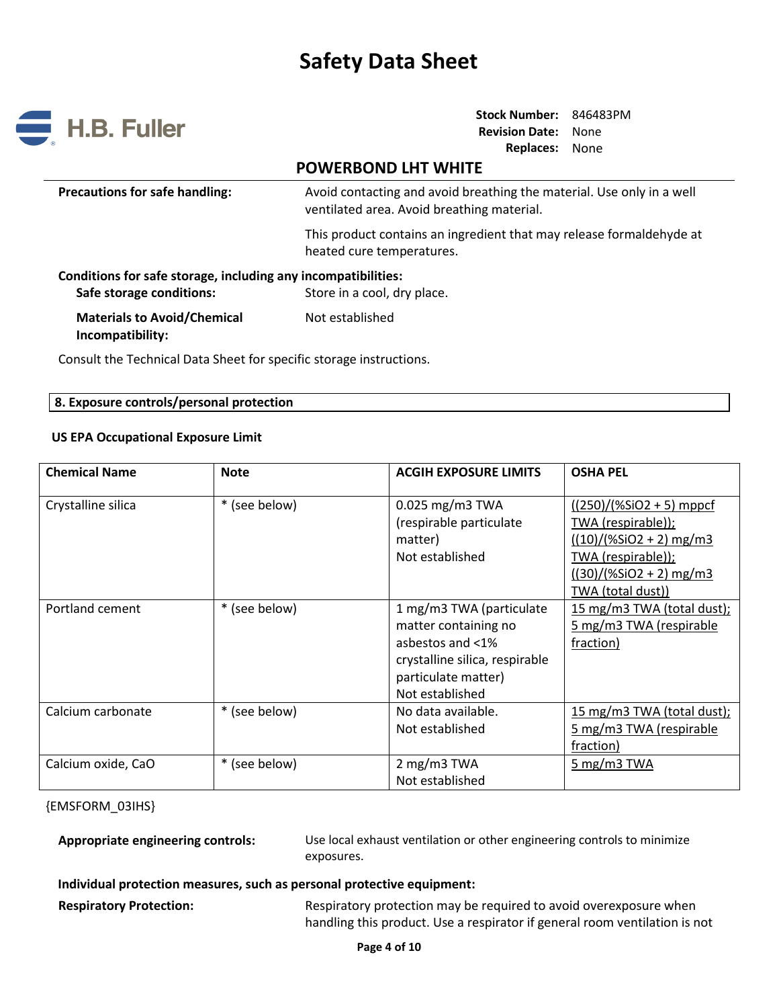

**Stock Number:** 846483PM **Revision Date:** None **Replaces:** None

# **POWERBOND LHT WHITE**

| <b>Precautions for safe handling:</b> | Avoid contacting and avoid breathing the material. Use only in a well |
|---------------------------------------|-----------------------------------------------------------------------|
|                                       | ventilated area. Avoid breathing material.                            |

This product contains an ingredient that may release formaldehyde at heated cure temperatures.

| Conditions for safe storage, including any incompatibilities: |                             |  |
|---------------------------------------------------------------|-----------------------------|--|
| Safe storage conditions:                                      | Store in a cool, dry place. |  |
| <b>Materials to Avoid/Chemical</b>                            | Not established             |  |
| Incompatibility:                                              |                             |  |

Consult the Technical Data Sheet for specific storage instructions.

### **8. Exposure controls/personal protection**

### **US EPA Occupational Exposure Limit**

| <b>Chemical Name</b> | <b>Note</b>   | <b>ACGIH EXPOSURE LIMITS</b>   | <b>OSHA PEL</b>            |
|----------------------|---------------|--------------------------------|----------------------------|
| Crystalline silica   | * (see below) | 0.025 mg/m3 TWA                | $((250)/(%SiO2 + 5)$ mppcf |
|                      |               | (respirable particulate        | TWA (respirable));         |
|                      |               | matter)                        | $((10)/(%SiO2 + 2)$ mg/m3  |
|                      |               | Not established                | TWA (respirable));         |
|                      |               |                                | $((30)/(%SiO2 + 2)$ mg/m3  |
|                      |               |                                | TWA (total dust))          |
| Portland cement      | * (see below) | 1 mg/m3 TWA (particulate       | 15 mg/m3 TWA (total dust); |
|                      |               | matter containing no           | 5 mg/m3 TWA (respirable    |
|                      |               | asbestos and <1%               | fraction)                  |
|                      |               | crystalline silica, respirable |                            |
|                      |               | particulate matter)            |                            |
|                      |               | Not established                |                            |
| Calcium carbonate    | * (see below) | No data available.             | 15 mg/m3 TWA (total dust); |
|                      |               | Not established                | 5 mg/m3 TWA (respirable    |
|                      |               |                                | fraction)                  |
| Calcium oxide, CaO   | * (see below) | 2 mg/m3 TWA                    | 5 mg/m3 TWA                |
|                      |               | Not established                |                            |

#### {EMSFORM\_03IHS}

**Appropriate engineering controls:** Use local exhaust ventilation or other engineering controls to minimize exposures.

#### **Individual protection measures, such as personal protective equipment:**

**Respiratory Protection:** Respiratory protection may be required to avoid overexposure when handling this product. Use a respirator if general room ventilation is not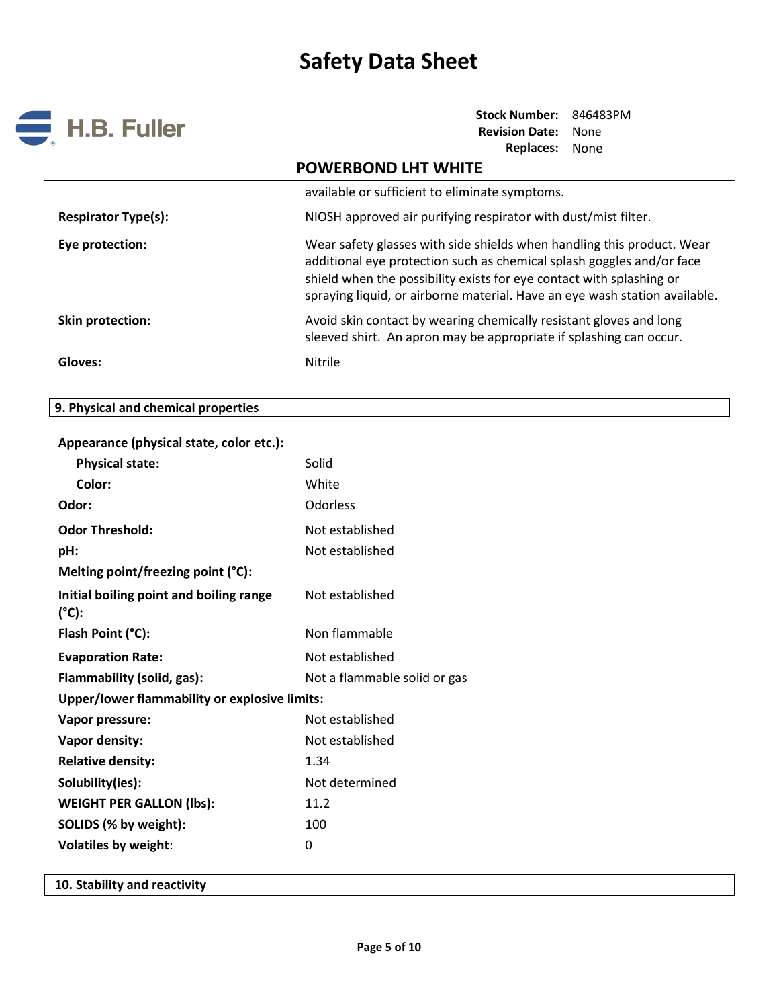

**Stock Number:** 846483PM **Revision Date:** None **Replaces:** None

|                            | <b>POWERBOND LHT WHITE</b>                                                                                                                                                                                                                                                                            |
|----------------------------|-------------------------------------------------------------------------------------------------------------------------------------------------------------------------------------------------------------------------------------------------------------------------------------------------------|
|                            | available or sufficient to eliminate symptoms.                                                                                                                                                                                                                                                        |
| <b>Respirator Type(s):</b> | NIOSH approved air purifying respirator with dust/mist filter.                                                                                                                                                                                                                                        |
| Eye protection:            | Wear safety glasses with side shields when handling this product. Wear<br>additional eye protection such as chemical splash goggles and/or face<br>shield when the possibility exists for eye contact with splashing or<br>spraying liquid, or airborne material. Have an eye wash station available. |
| Skin protection:           | Avoid skin contact by wearing chemically resistant gloves and long<br>sleeved shirt. An apron may be appropriate if splashing can occur.                                                                                                                                                              |
| Gloves:                    | Nitrile                                                                                                                                                                                                                                                                                               |

# **9. Physical and chemical properties**

| Appearance (physical state, color etc.):                   |                              |
|------------------------------------------------------------|------------------------------|
| <b>Physical state:</b>                                     | Solid                        |
| Color:                                                     | White                        |
| Odor:                                                      | Odorless                     |
| <b>Odor Threshold:</b>                                     | Not established              |
| pH:                                                        | Not established              |
| Melting point/freezing point (°C):                         |                              |
| Initial boiling point and boiling range<br>$(^{\circ}C)$ : | Not established              |
| Flash Point (°C):                                          | Non flammable                |
| <b>Evaporation Rate:</b>                                   | Not established              |
| Flammability (solid, gas):                                 | Not a flammable solid or gas |
| <b>Upper/lower flammability or explosive limits:</b>       |                              |
| Vapor pressure:                                            | Not established              |
| <b>Vapor density:</b>                                      | Not established              |
| <b>Relative density:</b>                                   | 1.34                         |
| Solubility(ies):                                           | Not determined               |
| <b>WEIGHT PER GALLON (lbs):</b>                            | 11.2                         |
| SOLIDS (% by weight):                                      | 100                          |
| <b>Volatiles by weight:</b>                                | 0                            |
|                                                            |                              |

**10. Stability and reactivity**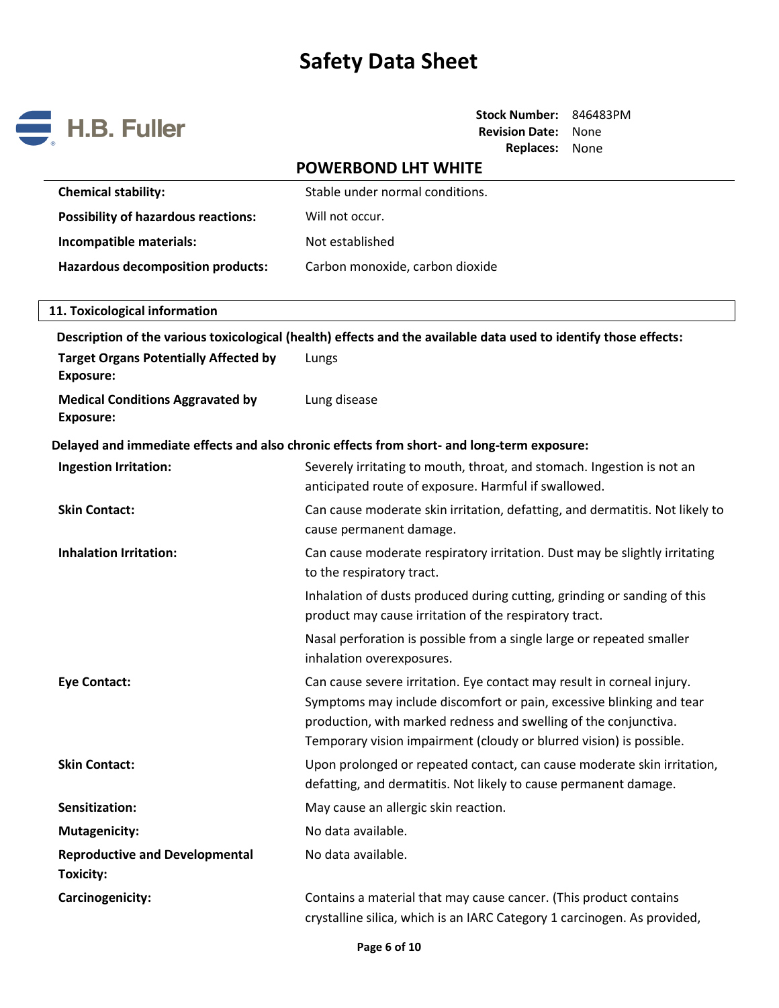

**Stock Number:** 846483PM **Revision Date:** None **Replaces:** None

# **POWERBOND LHT WHITE Chemical stability:** Stable under normal conditions. Possibility of hazardous reactions: Will not occur. **Incompatible materials:** Not established Hazardous decomposition products: Carbon monoxide, carbon dioxide **11. Toxicological information Description of the various toxicological (health) effects and the available data used to identify those effects: Target Organs Potentially Affected by Exposure:** Lungs **Medical Conditions Aggravated by Exposure:** Lung disease **Delayed and immediate effects and also chronic effects from short- and long-term exposure: Ingestion Irritation:** Severely irritating to mouth, throat, and stomach. Ingestion is not an anticipated route of exposure. Harmful if swallowed. **Skin Contact:** Can cause moderate skin irritation, defatting, and dermatitis. Not likely to can cause moderate skin irritation, defatting, and dermatitis. Not likely to cause permanent damage. **Inhalation Irritation:** Can cause moderate respiratory irritation. Dust may be slightly irritating to the respiratory tract. Inhalation of dusts produced during cutting, grinding or sanding of this product may cause irritation of the respiratory tract. Nasal perforation is possible from a single large or repeated smaller inhalation overexposures. **Eye Contact:** Can cause severe irritation. Eye contact may result in corneal injury. Symptoms may include discomfort or pain, excessive blinking and tear production, with marked redness and swelling of the conjunctiva. Temporary vision impairment (cloudy or blurred vision) is possible. **Skin Contact:** Upon prolonged or repeated contact, can cause moderate skin irritation, defatting, and dermatitis. Not likely to cause permanent damage. **Sensitization:** May cause an allergic skin reaction. **Mutagenicity:** No data available. **Reproductive and Developmental Toxicity:**  No data available. **Carcinogenicity:** Contains a material that may cause cancer. (This product contains a material that may cause cancer. (This product contains

crystalline silica, which is an IARC Category 1 carcinogen. As provided,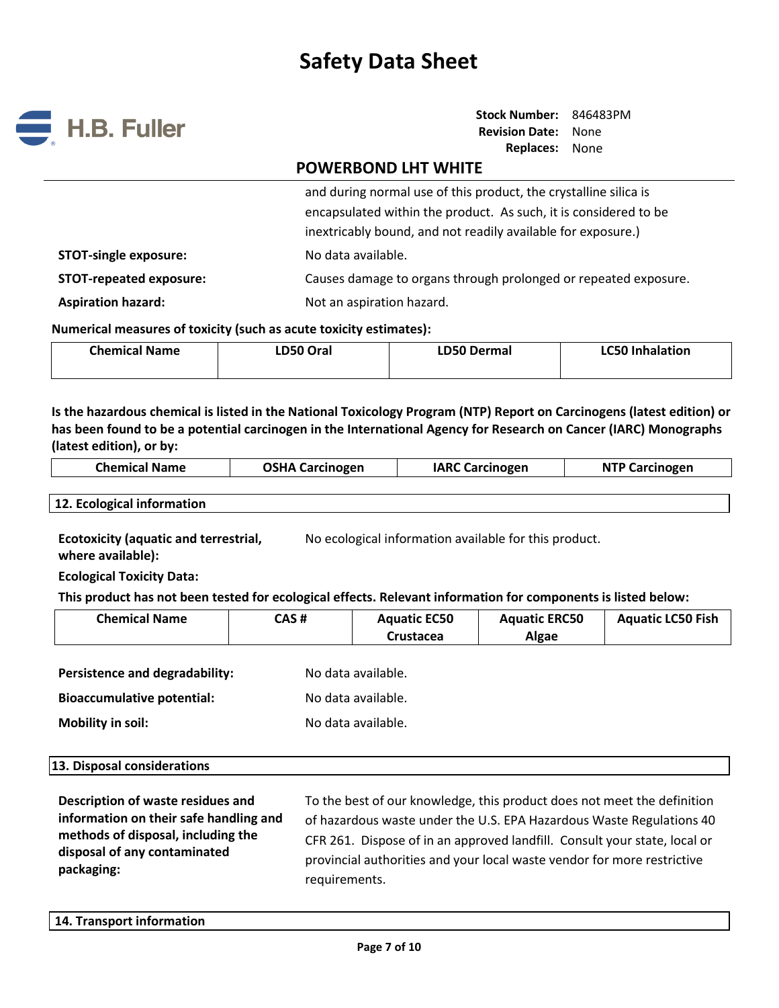

**Stock Number:** 846483PM **Revision Date:** None **Replaces:** None

# **POWERBOND LHT WHITE**

and during normal use of this product, the crystalline silica is encapsulated within the product. As such, it is considered to be inextricably bound, and not readily available for exposure.)

**STOT-single exposure:** No data available.

**STOT-repeated exposure:** Causes damage to organs through prolonged or repeated exposure.

**Aspiration hazard:** Not an aspiration hazard.

**Numerical measures of toxicity (such as acute toxicity estimates):**

| <b>Chemical Name</b> | LD50 Oral | LD50 Dermal | <b>LC50 Inhalation</b> |
|----------------------|-----------|-------------|------------------------|
|                      |           |             |                        |

**Is the hazardous chemical is listed in the National Toxicology Program (NTP) Report on Carcinogens (latest edition) or has been found to be a potential carcinogen in the International Agency for Research on Cancer (IARC) Monographs (latest edition), or by:**

| <b>Chemical Name</b> | <b>OSHA Carcinogen</b> | <b>IARC Carcinogen</b> | <b>NTP Carcinogen</b> |
|----------------------|------------------------|------------------------|-----------------------|
|                      |                        |                        |                       |

**12. Ecological information**

**Ecotoxicity (aquatic and terrestrial, where available):** No ecological information available for this product.

**Ecological Toxicity Data:** 

**This product has not been tested for ecological effects. Relevant information for components is listed below:**

| <b>Chemical Name</b>              | CAS# | <b>Aquatic EC50</b><br>Crustacea | <b>Aquatic ERC50</b><br><b>Algae</b> | <b>Aquatic LC50 Fish</b> |
|-----------------------------------|------|----------------------------------|--------------------------------------|--------------------------|
| Persistence and degradability:    |      | No data available.               |                                      |                          |
| <b>Bioaccumulative potential:</b> |      | No data available.               |                                      |                          |

**Mobility** in soil: **No data available. No data available.** 

**Description of waste residues and information on their safe handling and methods of disposal, including the disposal of any contaminated packaging:** 

To the best of our knowledge, this product does not meet the definition of hazardous waste under the U.S. EPA Hazardous Waste Regulations 40 CFR 261. Dispose of in an approved landfill. Consult your state, local or provincial authorities and your local waste vendor for more restrictive requirements.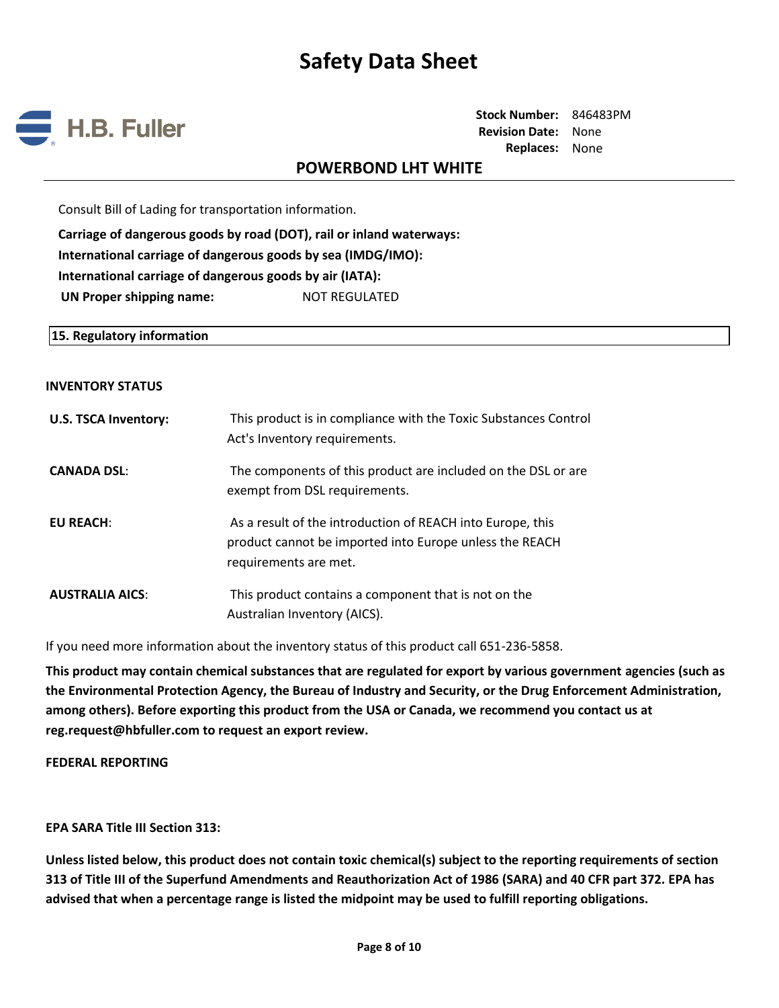

**Stock Number:** 846483PM **Revision Date:** None **Replaces:** None

## **POWERBOND LHT WHITE**

Consult Bill of Lading for transportation information.

**Carriage of dangerous goods by road (DOT), rail or inland waterways: International carriage of dangerous goods by sea (IMDG/IMO): International carriage of dangerous goods by air (IATA): UN Proper shipping name:** NOT REGULATED

**15. Regulatory information**

#### **INVENTORY STATUS**

| <b>U.S. TSCA Inventory:</b> | This product is in compliance with the Toxic Substances Control<br>Act's Inventory requirements.                                               |
|-----------------------------|------------------------------------------------------------------------------------------------------------------------------------------------|
| <b>CANADA DSL:</b>          | The components of this product are included on the DSL or are<br>exempt from DSL requirements.                                                 |
| <b>EU REACH:</b>            | As a result of the introduction of REACH into Europe, this<br>product cannot be imported into Europe unless the REACH<br>requirements are met. |
| <b>AUSTRALIA AICS:</b>      | This product contains a component that is not on the<br>Australian Inventory (AICS).                                                           |

If you need more information about the inventory status of this product call 651-236-5858.

**This product may contain chemical substances that are regulated for export by various government agencies (such as the Environmental Protection Agency, the Bureau of Industry and Security, or the Drug Enforcement Administration, among others). Before exporting this product from the USA or Canada, we recommend you contact us at reg.request@hbfuller.com to request an export review.**

**FEDERAL REPORTING**

**EPA SARA Title III Section 313:**

**Unless listed below, this product does not contain toxic chemical(s) subject to the reporting requirements of section 313 of Title III of the Superfund Amendments and Reauthorization Act of 1986 (SARA) and 40 CFR part 372. EPA has advised that when a percentage range is listed the midpoint may be used to fulfill reporting obligations.**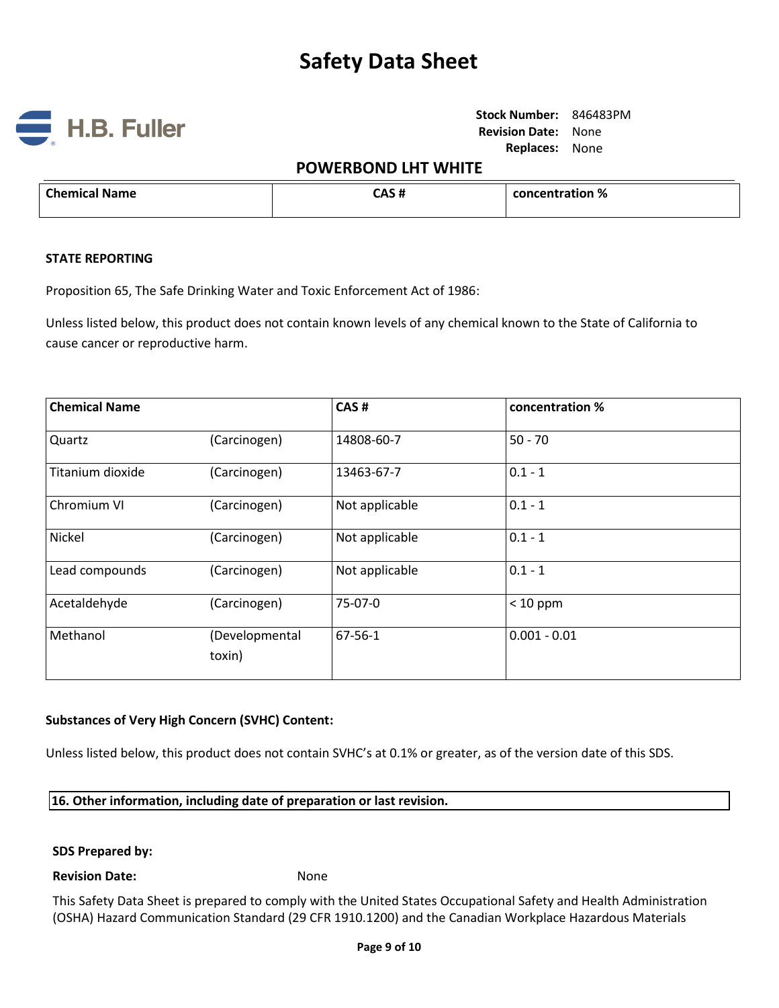

**Stock Number:** 846483PM **Revision Date:** None **Replaces:** None

# **POWERBOND LHT WHITE**

| $\cap$ hemical $\sim$<br><b>Name</b><br>. | ጠረዝ<br>52 H | concentration %<br>. |
|-------------------------------------------|-------------|----------------------|
|                                           |             |                      |

#### **STATE REPORTING**

Proposition 65, The Safe Drinking Water and Toxic Enforcement Act of 1986:

Unless listed below, this product does not contain known levels of any chemical known to the State of California to cause cancer or reproductive harm.

| <b>Chemical Name</b> |                          | CAS#           | concentration % |
|----------------------|--------------------------|----------------|-----------------|
| Quartz               | (Carcinogen)             | 14808-60-7     | $50 - 70$       |
| Titanium dioxide     | (Carcinogen)             | 13463-67-7     | $0.1 - 1$       |
| Chromium VI          | (Carcinogen)             | Not applicable | $0.1 - 1$       |
| Nickel               | (Carcinogen)             | Not applicable | $0.1 - 1$       |
| Lead compounds       | (Carcinogen)             | Not applicable | $0.1 - 1$       |
| Acetaldehyde         | (Carcinogen)             | 75-07-0        | $< 10$ ppm      |
| Methanol             | (Developmental<br>toxin) | 67-56-1        | $0.001 - 0.01$  |

## **Substances of Very High Concern (SVHC) Content:**

Unless listed below, this product does not contain SVHC's at 0.1% or greater, as of the version date of this SDS.

### **16. Other information, including date of preparation or last revision.**

#### **SDS Prepared by:**

#### **Revision Date:** None

This Safety Data Sheet is prepared to comply with the United States Occupational Safety and Health Administration (OSHA) Hazard Communication Standard (29 CFR 1910.1200) and the Canadian Workplace Hazardous Materials